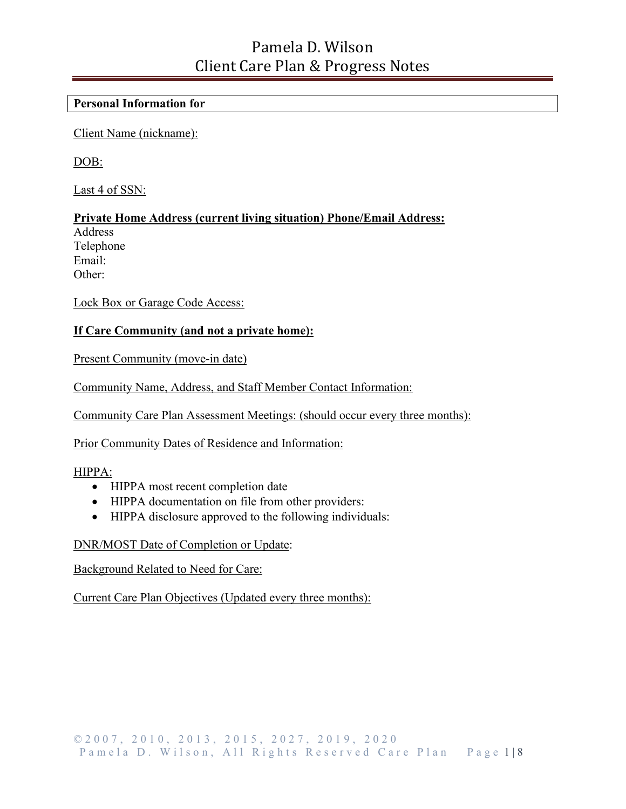#### **Personal Information for**

Client Name (nickname):

DOB:

Last 4 of SSN:

**Private Home Address (current living situation) Phone/Email Address:**

Address Telephone Email: Other:

Lock Box or Garage Code Access:

#### **If Care Community (and not a private home):**

Present Community (move-in date)

Community Name, Address, and Staff Member Contact Information:

Community Care Plan Assessment Meetings: (should occur every three months):

Prior Community Dates of Residence and Information:

#### HIPPA:

- HIPPA most recent completion date
- HIPPA documentation on file from other providers:
- HIPPA disclosure approved to the following individuals:

#### DNR/MOST Date of Completion or Update:

#### Background Related to Need for Care:

Current Care Plan Objectives (Updated every three months):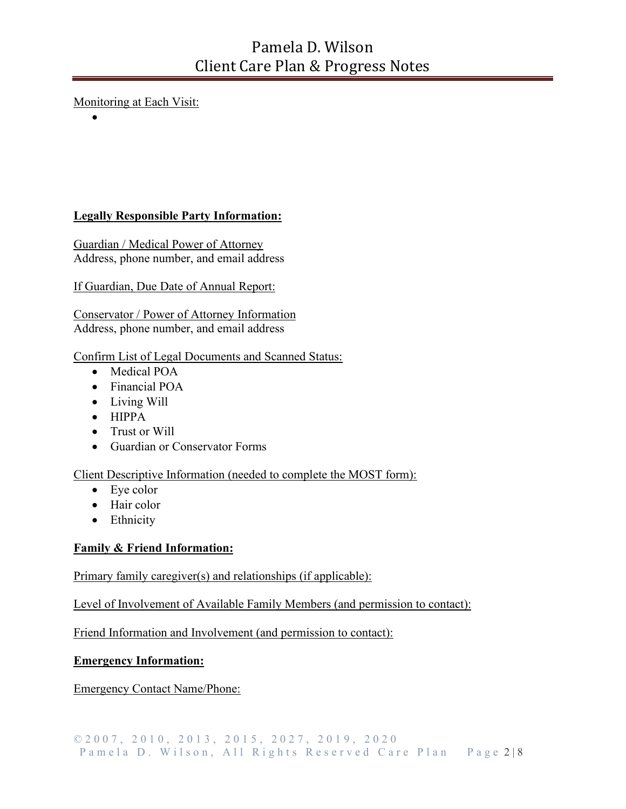### Monitoring at Each Visit:

•

### **Legally Responsible Party Information:**

Guardian / Medical Power of Attorney Address, phone number, and email address

#### If Guardian, Due Date of Annual Report:

Conservator / Power of Attorney Information Address, phone number, and email address

#### Confirm List of Legal Documents and Scanned Status:

- Medical POA
- Financial POA
- Living Will
- HIPPA
- Trust or Will
- Guardian or Conservator Forms

#### Client Descriptive Information (needed to complete the MOST form):

- Eye color
- Hair color
- Ethnicity

#### **Family & Friend Information:**

#### Primary family caregiver(s) and relationships (if applicable):

Level of Involvement of Available Family Members (and permission to contact):

Friend Information and Involvement (and permission to contact):

#### **Emergency Information:**

Emergency Contact Name/Phone: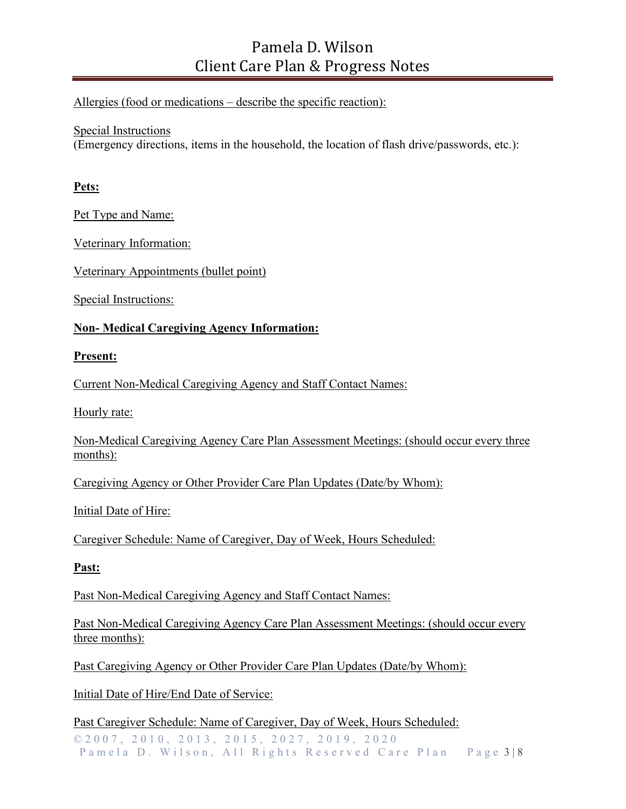#### Allergies (food or medications – describe the specific reaction):

#### Special Instructions

(Emergency directions, items in the household, the location of flash drive/passwords, etc.):

#### **Pets:**

Pet Type and Name:

Veterinary Information:

Veterinary Appointments (bullet point)

Special Instructions:

#### **Non- Medical Caregiving Agency Information:**

#### **Present:**

Current Non-Medical Caregiving Agency and Staff Contact Names:

Hourly rate:

Non-Medical Caregiving Agency Care Plan Assessment Meetings: (should occur every three months):

Caregiving Agency or Other Provider Care Plan Updates (Date/by Whom):

Initial Date of Hire:

Caregiver Schedule: Name of Caregiver, Day of Week, Hours Scheduled:

#### **Past:**

Past Non-Medical Caregiving Agency and Staff Contact Names:

Past Non-Medical Caregiving Agency Care Plan Assessment Meetings: (should occur every three months):

Past Caregiving Agency or Other Provider Care Plan Updates (Date/by Whom):

Initial Date of Hire/End Date of Service:

© 2007, 2010, 2013, 2015, 2027, 2019 , 2020 Pamela D. Wilson, All Rights Reserved Care Plan Page 3 | 8 Past Caregiver Schedule: Name of Caregiver, Day of Week, Hours Scheduled: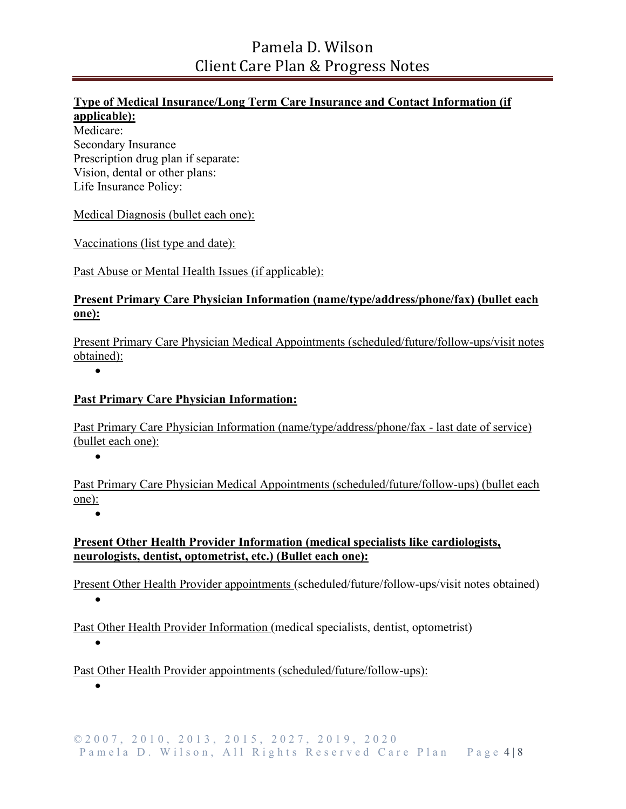#### **Type of Medical Insurance/Long Term Care Insurance and Contact Information (if**

### **applicable):**

Medicare: Secondary Insurance Prescription drug plan if separate: Vision, dental or other plans: Life Insurance Policy:

Medical Diagnosis (bullet each one):

Vaccinations (list type and date):

Past Abuse or Mental Health Issues (if applicable):

#### **Present Primary Care Physician Information (name/type/address/phone/fax) (bullet each one):**

Present Primary Care Physician Medical Appointments (scheduled/future/follow-ups/visit notes obtained):

•

### **Past Primary Care Physician Information:**

Past Primary Care Physician Information (name/type/address/phone/fax - last date of service) (bullet each one):

•

Past Primary Care Physician Medical Appointments (scheduled/future/follow-ups) (bullet each one):

•

### **Present Other Health Provider Information (medical specialists like cardiologists, neurologists, dentist, optometrist, etc.) (Bullet each one):**

Present Other Health Provider appointments (scheduled/future/follow-ups/visit notes obtained)

•

Past Other Health Provider Information (medical specialists, dentist, optometrist)

•

Past Other Health Provider appointments (scheduled/future/follow-ups):

•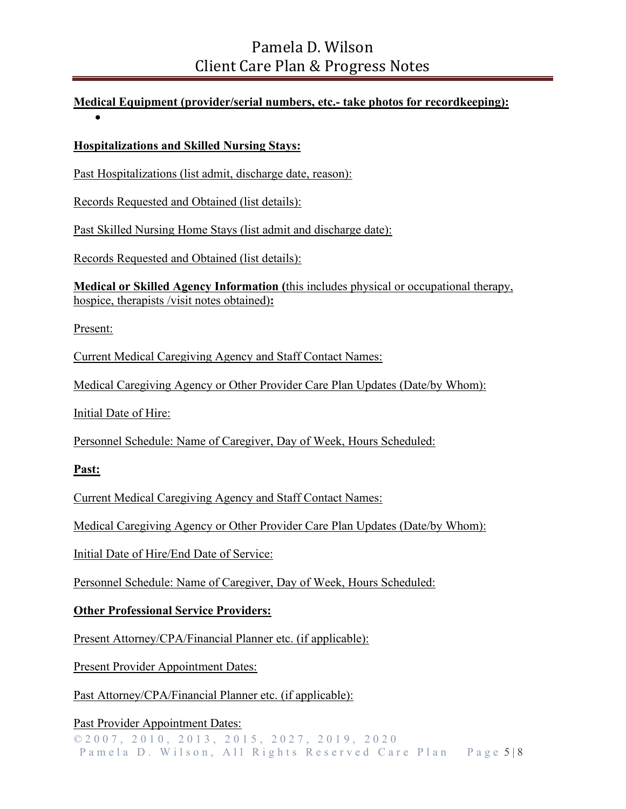### **Medical Equipment (provider/serial numbers, etc.- take photos for recordkeeping):** •

### **Hospitalizations and Skilled Nursing Stays:**

Past Hospitalizations (list admit, discharge date, reason):

Records Requested and Obtained (list details):

Past Skilled Nursing Home Stays (list admit and discharge date):

Records Requested and Obtained (list details):

**Medical or Skilled Agency Information (**this includes physical or occupational therapy, hospice, therapists /visit notes obtained)**:**

Present:

Current Medical Caregiving Agency and Staff Contact Names:

Medical Caregiving Agency or Other Provider Care Plan Updates (Date/by Whom):

Initial Date of Hire:

Personnel Schedule: Name of Caregiver, Day of Week, Hours Scheduled:

**Past:**

Current Medical Caregiving Agency and Staff Contact Names:

Medical Caregiving Agency or Other Provider Care Plan Updates (Date/by Whom):

Initial Date of Hire/End Date of Service:

Personnel Schedule: Name of Caregiver, Day of Week, Hours Scheduled:

#### **Other Professional Service Providers:**

Present Attorney/CPA/Financial Planner etc. (if applicable):

Present Provider Appointment Dates:

Past Attorney/CPA/Financial Planner etc. (if applicable):

Past Provider Appointment Dates:

© 2007, 2010, 2013, 2015, 2027, 2019 , 2020 Pamela D. Wilson, All Rights Reserved Care Plan Page 5 | 8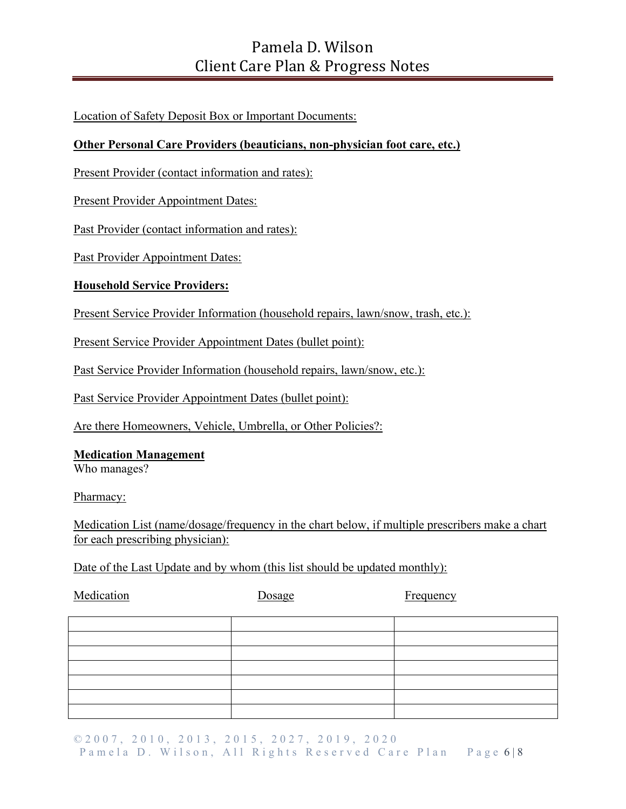Location of Safety Deposit Box or Important Documents:

### **Other Personal Care Providers (beauticians, non-physician foot care, etc.)**

Present Provider (contact information and rates):

Present Provider Appointment Dates:

Past Provider (contact information and rates):

Past Provider Appointment Dates:

### **Household Service Providers:**

Present Service Provider Information (household repairs, lawn/snow, trash, etc.):

Present Service Provider Appointment Dates (bullet point):

Past Service Provider Information (household repairs, lawn/snow, etc.):

Past Service Provider Appointment Dates (bullet point):

Are there Homeowners, Vehicle, Umbrella, or Other Policies?:

### **Medication Management**

Who manages?

Pharmacy:

Medication List (name/dosage/frequency in the chart below, if multiple prescribers make a chart for each prescribing physician):

Date of the Last Update and by whom (this list should be updated monthly):

| Medication | Dosage | Frequency |  |  |
|------------|--------|-----------|--|--|
|            |        |           |  |  |
|            |        |           |  |  |
|            |        |           |  |  |
|            |        |           |  |  |
|            |        |           |  |  |
|            |        |           |  |  |
|            |        |           |  |  |

© 2007, 2010, 2013, 2015, 2027, 2019 , 2020 Pamela D. Wilson, All Rights Reserved Care Plan Page 6 | 8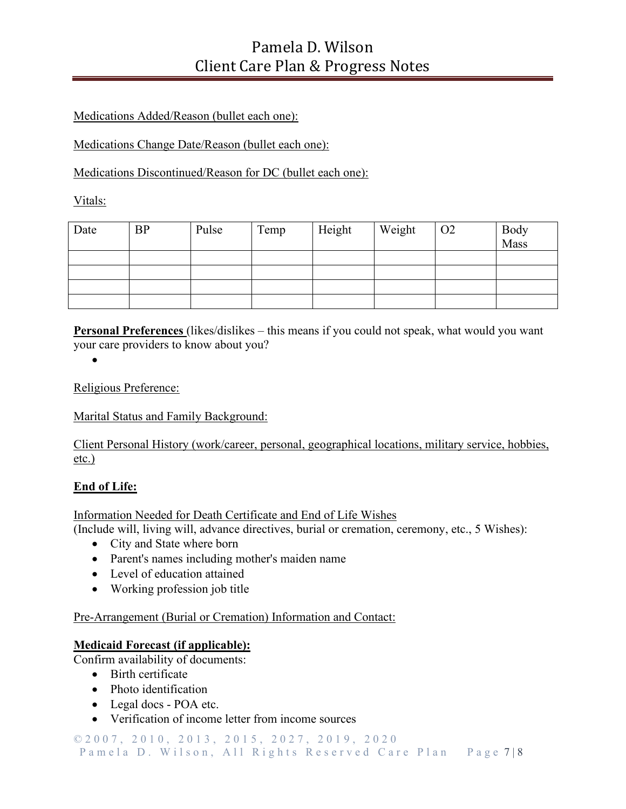### Medications Added/Reason (bullet each one):

Medications Change Date/Reason (bullet each one):

Medications Discontinued/Reason for DC (bullet each one):

Vitals:

| Date | <b>BP</b> | Pulse | Temp | Height | Weight | O <sub>2</sub> | <b>Body</b><br>Mass |
|------|-----------|-------|------|--------|--------|----------------|---------------------|
|      |           |       |      |        |        |                |                     |
|      |           |       |      |        |        |                |                     |
|      |           |       |      |        |        |                |                     |
|      |           |       |      |        |        |                |                     |

**Personal Preferences** (likes/dislikes – this means if you could not speak, what would you want your care providers to know about you?

•

Religious Preference:

Marital Status and Family Background:

Client Personal History (work/career, personal, geographical locations, military service, hobbies, etc.)

#### **End of Life:**

#### Information Needed for Death Certificate and End of Life Wishes

(Include will, living will, advance directives, burial or cremation, ceremony, etc., 5 Wishes):

- City and State where born
- Parent's names including mother's maiden name
- Level of education attained
- Working profession job title

Pre-Arrangement (Burial or Cremation) Information and Contact:

#### **Medicaid Forecast (if applicable):**

Confirm availability of documents:

- Birth certificate
- Photo identification
- Legal docs POA etc.
- Verification of income letter from income sources